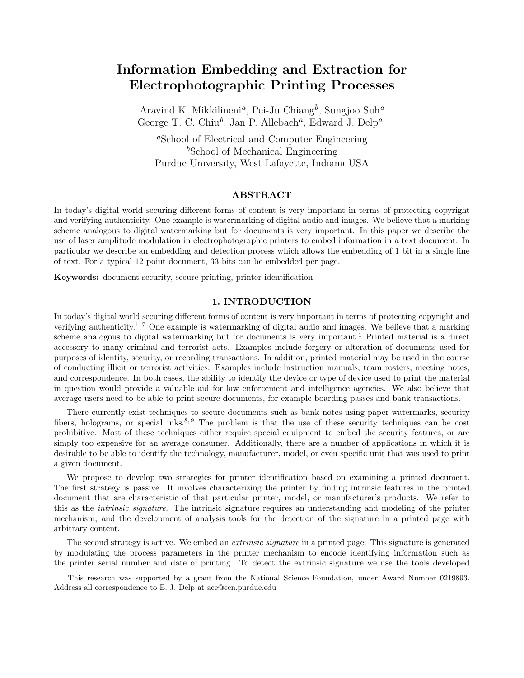# Information Embedding and Extraction for Electrophotographic Printing Processes

Aravind K. Mikkilineni<sup>a</sup>, Pei-Ju Chiang<sup>b</sup>, Sungjoo Suh<sup>a</sup> George T. C. Chiu<sup>b</sup>, Jan P. Allebach<sup>a</sup>, Edward J. Delp<sup>a</sup>

<sup>a</sup>School of Electrical and Computer Engineering  ${}^{b}$ School of Mechanical Engineering Purdue University, West Lafayette, Indiana USA

# ABSTRACT

In today's digital world securing different forms of content is very important in terms of protecting copyright and verifying authenticity. One example is watermarking of digital audio and images. We believe that a marking scheme analogous to digital watermarking but for documents is very important. In this paper we describe the use of laser amplitude modulation in electrophotographic printers to embed information in a text document. In particular we describe an embedding and detection process which allows the embedding of 1 bit in a single line of text. For a typical 12 point document, 33 bits can be embedded per page.

Keywords: document security, secure printing, printer identification

# 1. INTRODUCTION

In today's digital world securing different forms of content is very important in terms of protecting copyright and verifying authenticity.<sup>1–7</sup> One example is watermarking of digital audio and images. We believe that a marking scheme analogous to digital watermarking but for documents is very important.<sup>1</sup> Printed material is a direct accessory to many criminal and terrorist acts. Examples include forgery or alteration of documents used for purposes of identity, security, or recording transactions. In addition, printed material may be used in the course of conducting illicit or terrorist activities. Examples include instruction manuals, team rosters, meeting notes, and correspondence. In both cases, the ability to identify the device or type of device used to print the material in question would provide a valuable aid for law enforcement and intelligence agencies. We also believe that average users need to be able to print secure documents, for example boarding passes and bank transactions.

There currently exist techniques to secure documents such as bank notes using paper watermarks, security fibers, holograms, or special inks.<sup>8, 9</sup> The problem is that the use of these security techniques can be cost prohibitive. Most of these techniques either require special equipment to embed the security features, or are simply too expensive for an average consumer. Additionally, there are a number of applications in which it is desirable to be able to identify the technology, manufacturer, model, or even specific unit that was used to print a given document.

We propose to develop two strategies for printer identification based on examining a printed document. The first strategy is passive. It involves characterizing the printer by finding intrinsic features in the printed document that are characteristic of that particular printer, model, or manufacturer's products. We refer to this as the intrinsic signature. The intrinsic signature requires an understanding and modeling of the printer mechanism, and the development of analysis tools for the detection of the signature in a printed page with arbitrary content.

The second strategy is active. We embed an *extrinsic signature* in a printed page. This signature is generated by modulating the process parameters in the printer mechanism to encode identifying information such as the printer serial number and date of printing. To detect the extrinsic signature we use the tools developed

This research was supported by a grant from the National Science Foundation, under Award Number 0219893. Address all correspondence to E. J. Delp at ace@ecn.purdue.edu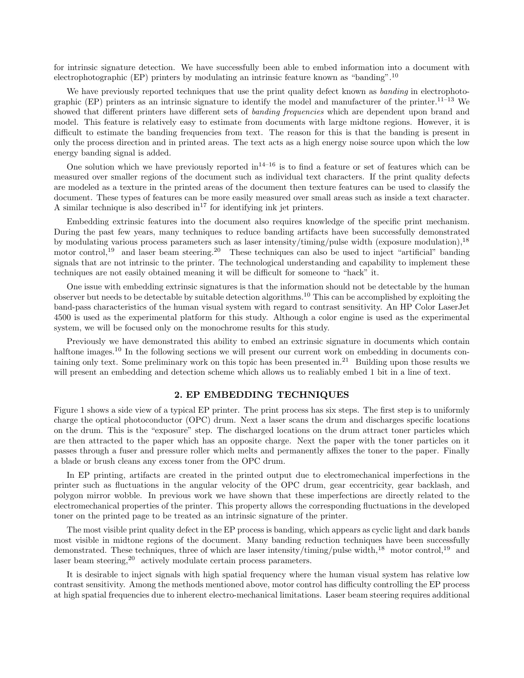for intrinsic signature detection. We have successfully been able to embed information into a document with electrophotographic (EP) printers by modulating an intrinsic feature known as "banding".<sup>10</sup>

We have previously reported techniques that use the print quality defect known as *banding* in electrophotographic (EP) printers as an intrinsic signature to identify the model and manufacturer of the printer.<sup>11–13</sup> We showed that different printers have different sets of banding frequencies which are dependent upon brand and model. This feature is relatively easy to estimate from documents with large midtone regions. However, it is difficult to estimate the banding frequencies from text. The reason for this is that the banding is present in only the process direction and in printed areas. The text acts as a high energy noise source upon which the low energy banding signal is added.

One solution which we have previously reported in<sup>14–16</sup> is to find a feature or set of features which can be measured over smaller regions of the document such as individual text characters. If the print quality defects are modeled as a texture in the printed areas of the document then texture features can be used to classify the document. These types of features can be more easily measured over small areas such as inside a text character. A similar technique is also described  $\ln^{17}$  for identifying ink jet printers.

Embedding extrinsic features into the document also requires knowledge of the specific print mechanism. During the past few years, many techniques to reduce banding artifacts have been successfully demonstrated by modulating various process parameters such as laser intensity/timing/pulse width (exposure modulation),  $^{18}$ motor control,<sup>19</sup> and laser beam steering.<sup>20</sup> These techniques can also be used to inject "artificial" banding signals that are not intrinsic to the printer. The technological understanding and capability to implement these techniques are not easily obtained meaning it will be difficult for someone to "hack" it.

One issue with embedding extrinsic signatures is that the information should not be detectable by the human observer but needs to be detectable by suitable detection algorithms.<sup>10</sup> This can be accomplished by exploiting the band-pass characteristics of the human visual system with regard to contrast sensitivity. An HP Color LaserJet 4500 is used as the experimental platform for this study. Although a color engine is used as the experimental system, we will be focused only on the monochrome results for this study.

Previously we have demonstrated this ability to embed an extrinsic signature in documents which contain halftone images.<sup>10</sup> In the following sections we will present our current work on embedding in documents containing only text. Some preliminary work on this topic has been presented in.<sup>21</sup> Building upon those results we will present an embedding and detection scheme which allows us to realiably embed 1 bit in a line of text.

# 2. EP EMBEDDING TECHNIQUES

Figure 1 shows a side view of a typical EP printer. The print process has six steps. The first step is to uniformly charge the optical photoconductor (OPC) drum. Next a laser scans the drum and discharges specific locations on the drum. This is the "exposure" step. The discharged locations on the drum attract toner particles which are then attracted to the paper which has an opposite charge. Next the paper with the toner particles on it passes through a fuser and pressure roller which melts and permanently affixes the toner to the paper. Finally a blade or brush cleans any excess toner from the OPC drum.

In EP printing, artifacts are created in the printed output due to electromechanical imperfections in the printer such as fluctuations in the angular velocity of the OPC drum, gear eccentricity, gear backlash, and polygon mirror wobble. In previous work we have shown that these imperfections are directly related to the electromechanical properties of the printer. This property allows the corresponding fluctuations in the developed toner on the printed page to be treated as an intrinsic signature of the printer.

The most visible print quality defect in the EP process is banding, which appears as cyclic light and dark bands most visible in midtone regions of the document. Many banding reduction techniques have been successfully demonstrated. These techniques, three of which are laser intensity/timing/pulse width,<sup>18</sup> motor control,<sup>19</sup> and laser beam steering, $20$  actively modulate certain process parameters.

It is desirable to inject signals with high spatial frequency where the human visual system has relative low contrast sensitivity. Among the methods mentioned above, motor control has difficulty controlling the EP process at high spatial frequencies due to inherent electro-mechanical limitations. Laser beam steering requires additional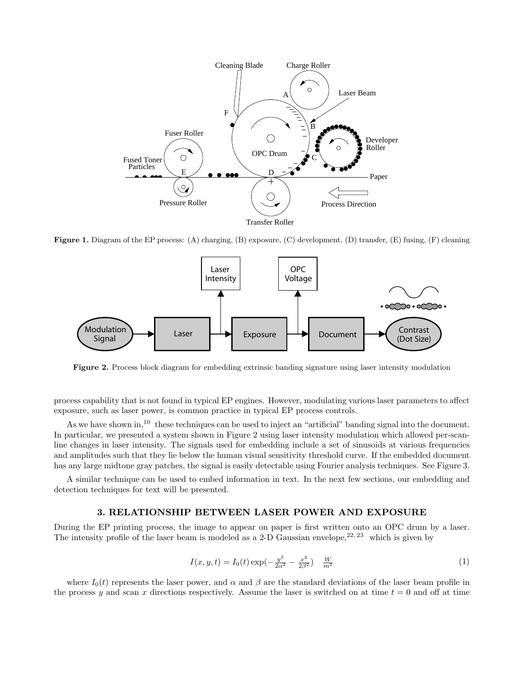

Figure 1. Diagram of the EP process: (A) charging, (B) exposure, (C) development, (D) transfer, (E) fusing, (F) cleaning



Figure 2. Process block diagram for embedding extrinsic banding signature using laser intensity modulation

process capability that is not found in typical EP engines. However, modulating various laser parameters to affect exposure, such as laser power, is common practice in typical EP process controls.

As we have shown in,<sup>10</sup> these techniques can be used to inject an "artificial" banding signal into the document. In particular, we presented a system shown in Figure 2 using laser intensity modulation which allowed per-scanline changes in laser intensity. The signals used for embedding include a set of sinusoids at various frequencies and amplitudes such that they lie below the human visual sensitivity threshold curve. If the embedded document has any large midtone gray patches, the signal is easily detectable using Fourier analysis techniques. See Figure 3.

A similar technique can be used to embed information in text. In the next few sections, our embedding and detection techniques for text will be presented.

## 3. RELATIONSHIP BETWEEN LASER POWER AND EXPOSURE

During the EP printing process, the image to appear on paper is first written onto an OPC drum by a laser. The intensity profile of the laser beam is modeled as a 2-D Gaussian envelope,  $2^{2, 23}$  which is given by

$$
I(x, y, t) = I_0(t) \exp\left(-\frac{y^2}{2\alpha^2} - \frac{x^2}{2\beta^2}\right) \frac{W}{m^2}
$$
 (1)

where  $I_0(t)$  represents the laser power, and  $\alpha$  and  $\beta$  are the standard deviations of the laser beam profile in the process y and scan x directions respectively. Assume the laser is switched on at time  $t = 0$  and off at time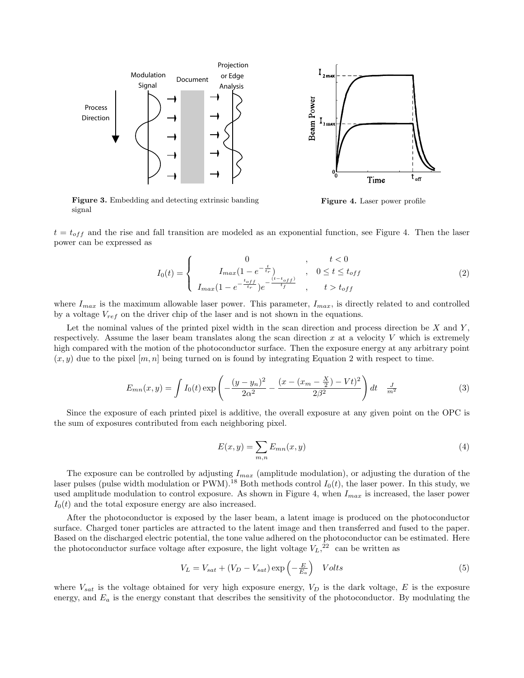

Figure 3. Embedding and detecting extrinsic banding signal

Figure 4. Laser power profile

 $t = t_{off}$  and the rise and fall transition are modeled as an exponential function, see Figure 4. Then the laser power can be expressed as

$$
I_0(t) = \begin{cases} 0, & t < 0\\ I_{max}(1 - e^{-\frac{t}{t_r}}), & 0 \le t \le t_{off} \\ I_{max}(1 - e^{-\frac{t_{off}}{t_r}})e^{-\frac{(t - t_{off})}{t_f}}, & t > t_{off} \end{cases}
$$
 (2)

where  $I_{max}$  is the maximum allowable laser power. This parameter,  $I_{max}$ , is directly related to and controlled by a voltage  $V_{ref}$  on the driver chip of the laser and is not shown in the equations.

Let the nominal values of the printed pixel width in the scan direction and process direction be  $X$  and  $Y$ , respectively. Assume the laser beam translates along the scan direction  $x$  at a velocity  $V$  which is extremely high compared with the motion of the photoconductor surface. Then the exposure energy at any arbitrary point  $(x, y)$  due to the pixel  $[m, n]$  being turned on is found by integrating Equation 2 with respect to time.

$$
E_{mn}(x,y) = \int I_0(t) \exp\left(-\frac{(y-y_n)^2}{2\alpha^2} - \frac{(x-(x_m-\frac{x}{2})-Vt)^2}{2\beta^2}\right) dt \frac{J}{m^2}
$$
(3)

Since the exposure of each printed pixel is additive, the overall exposure at any given point on the OPC is the sum of exposures contributed from each neighboring pixel.

$$
E(x,y) = \sum_{m,n} E_{mn}(x,y)
$$
\n<sup>(4)</sup>

The exposure can be controlled by adjusting  $I_{max}$  (amplitude modulation), or adjusting the duration of the laser pulses (pulse width modulation or PWM).<sup>18</sup> Both methods control  $I_0(t)$ , the laser power. In this study, we used amplitude modulation to control exposure. As shown in Figure 4, when  $I_{max}$  is increased, the laser power  $I_0(t)$  and the total exposure energy are also increased.

After the photoconductor is exposed by the laser beam, a latent image is produced on the photoconductor surface. Charged toner particles are attracted to the latent image and then transferred and fused to the paper. Based on the discharged electric potential, the tone value adhered on the photoconductor can be estimated. Here the photoconductor surface voltage after exposure, the light voltage  $V_L$ <sup>22</sup> can be written as

$$
V_L = V_{sat} + (V_D - V_{sat}) \exp\left(-\frac{E}{E_a}\right) \quad Volts \tag{5}
$$

where  $V_{sat}$  is the voltage obtained for very high exposure energy,  $V_D$  is the dark voltage, E is the exposure energy, and  $E_a$  is the energy constant that describes the sensitivity of the photoconductor. By modulating the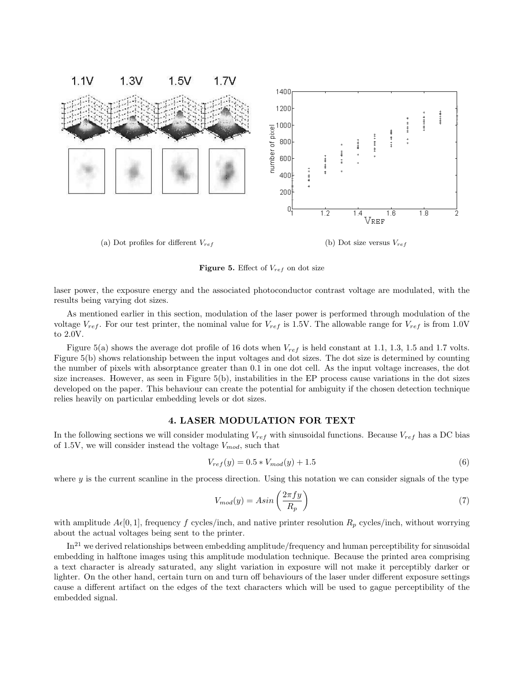

(a) Dot profiles for different  $V_{ref}$  (b) Dot size versus  $V_{ref}$ 

Figure 5. Effect of  $V_{ref}$  on dot size

laser power, the exposure energy and the associated photoconductor contrast voltage are modulated, with the results being varying dot sizes.

As mentioned earlier in this section, modulation of the laser power is performed through modulation of the voltage  $V_{ref}$ . For our test printer, the nominal value for  $V_{ref}$  is 1.5V. The allowable range for  $V_{ref}$  is from 1.0V to 2.0V.

Figure 5(a) shows the average dot profile of 16 dots when  $V_{ref}$  is held constant at 1.1, 1.3, 1.5 and 1.7 volts. Figure 5(b) shows relationship between the input voltages and dot sizes. The dot size is determined by counting the number of pixels with absorptance greater than 0.1 in one dot cell. As the input voltage increases, the dot size increases. However, as seen in Figure 5(b), instabilities in the EP process cause variations in the dot sizes developed on the paper. This behaviour can create the potential for ambiguity if the chosen detection technique relies heavily on particular embedding levels or dot sizes.

# 4. LASER MODULATION FOR TEXT

In the following sections we will consider modulating  $V_{ref}$  with sinusoidal functions. Because  $V_{ref}$  has a DC bias of 1.5V, we will consider instead the voltage  $V_{mod}$ , such that

$$
V_{ref}(y) = 0.5 * V_{mod}(y) + 1.5
$$
\n(6)

where  $y$  is the current scanline in the process direction. Using this notation we can consider signals of the type

$$
V_{mod}(y) = Asin\left(\frac{2\pi fy}{R_p}\right)
$$
\n<sup>(7)</sup>

with amplitude  $A\epsilon[0,1]$ , frequency f cycles/inch, and native printer resolution  $R_p$  cycles/inch, without worrying about the actual voltages being sent to the printer.

 $\ln^{21}$  we derived relationships between embedding amplitude/frequency and human perceptibility for sinusoidal embedding in halftone images using this amplitude modulation technique. Because the printed area comprising a text character is already saturated, any slight variation in exposure will not make it perceptibly darker or lighter. On the other hand, certain turn on and turn off behaviours of the laser under different exposure settings cause a different artifact on the edges of the text characters which will be used to gague perceptibility of the embedded signal.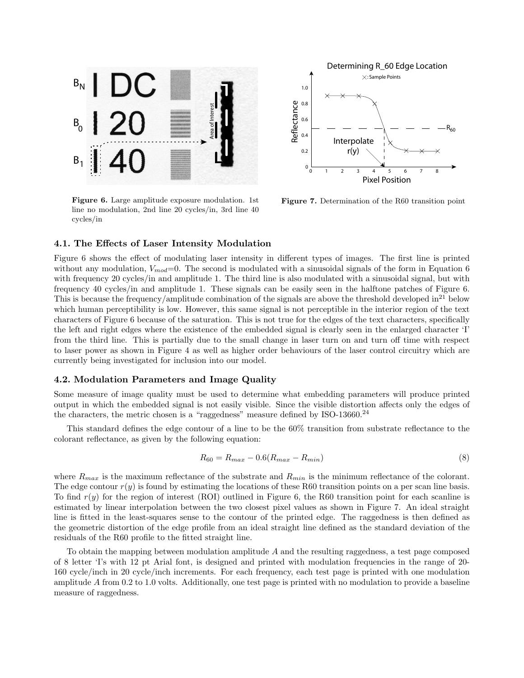

Figure 6. Large amplitude exposure modulation. 1st line no modulation, 2nd line 20 cycles/in, 3rd line 40 cycles/in



Figure 7. Determination of the R60 transition point

#### 4.1. The Effects of Laser Intensity Modulation

Figure 6 shows the effect of modulating laser intensity in different types of images. The first line is printed without any modulation,  $V_{mod}=0$ . The second is modulated with a sinusoidal signals of the form in Equation 6 with frequency 20 cycles/in and amplitude 1. The third line is also modulated with a sinusoidal signal, but with frequency 40 cycles/in and amplitude 1. These signals can be easily seen in the halftone patches of Figure 6. This is because the frequency/amplitude combination of the signals are above the threshold developed in $^{21}$  below which human perceptibility is low. However, this same signal is not perceptible in the interior region of the text characters of Figure 6 because of the saturation. This is not true for the edges of the text characters, specifically the left and right edges where the existence of the embedded signal is clearly seen in the enlarged character 'I' from the third line. This is partially due to the small change in laser turn on and turn off time with respect to laser power as shown in Figure 4 as well as higher order behaviours of the laser control circuitry which are currently being investigated for inclusion into our model.

#### 4.2. Modulation Parameters and Image Quality

Some measure of image quality must be used to determine what embedding parameters will produce printed output in which the embedded signal is not easily visible. Since the visible distortion affects only the edges of the characters, the metric chosen is a "raggedness" measure defined by ISO-13660. $^{24}$ 

This standard defines the edge contour of a line to be the 60% transition from substrate reflectance to the colorant reflectance, as given by the following equation:

$$
R_{60} = R_{max} - 0.6(R_{max} - R_{min})
$$
\n(8)

where  $R_{max}$  is the maximum reflectance of the substrate and  $R_{min}$  is the minimum reflectance of the colorant. The edge contour  $r(y)$  is found by estimating the locations of these R60 transition points on a per scan line basis. To find  $r(y)$  for the region of interest (ROI) outlined in Figure 6, the R60 transition point for each scanline is estimated by linear interpolation between the two closest pixel values as shown in Figure 7. An ideal straight line is fitted in the least-squares sense to the contour of the printed edge. The raggedness is then defined as the geometric distortion of the edge profile from an ideal straight line defined as the standard deviation of the residuals of the R60 profile to the fitted straight line.

To obtain the mapping between modulation amplitude A and the resulting raggedness, a test page composed of 8 letter 'I's with 12 pt Arial font, is designed and printed with modulation frequencies in the range of 20- 160 cycle/inch in 20 cycle/inch increments. For each frequency, each test page is printed with one modulation amplitude A from 0.2 to 1.0 volts. Additionally, one test page is printed with no modulation to provide a baseline measure of raggedness.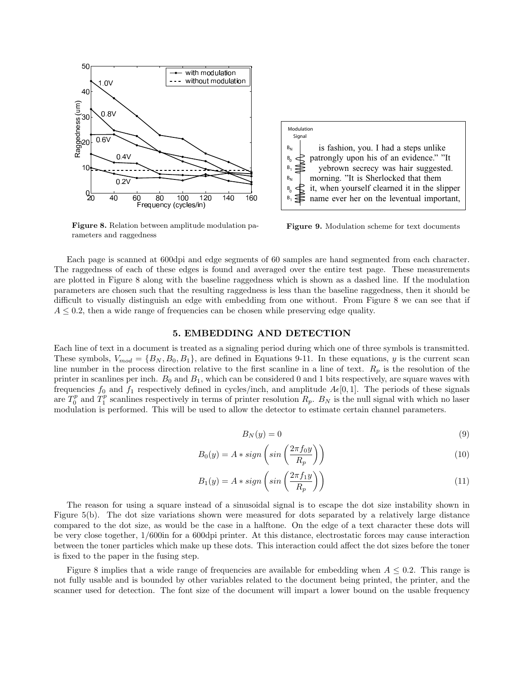

Figure 8. Relation between amplitude modulation parameters and raggedness



Figure 9. Modulation scheme for text documents

Each page is scanned at 600dpi and edge segments of 60 samples are hand segmented from each character. The raggedness of each of these edges is found and averaged over the entire test page. These measurements are plotted in Figure 8 along with the baseline raggedness which is shown as a dashed line. If the modulation parameters are chosen such that the resulting raggedness is less than the baseline raggedness, then it should be difficult to visually distinguish an edge with embedding from one without. From Figure 8 we can see that if  $A \leq 0.2$ , then a wide range of frequencies can be chosen while preserving edge quality.

# 5. EMBEDDING AND DETECTION

Each line of text in a document is treated as a signaling period during which one of three symbols is transmitted. These symbols,  $V_{mod} = \{B_N, B_0, B_1\}$ , are defined in Equations 9-11. In these equations, y is the current scan line number in the process direction relative to the first scanline in a line of text.  $R_p$  is the resolution of the printer in scanlines per inch.  $B_0$  and  $B_1$ , which can be considered 0 and 1 bits respectively, are square waves with frequencies  $f_0$  and  $f_1$  respectively defined in cycles/inch, and amplitude  $A\epsilon[0,1]$ . The periods of these signals are  $T_0^p$  and  $T_1^p$  scanlines respectively in terms of printer resolution  $R_p$ .  $B_N$  is the null signal with which no laser modulation is performed. This will be used to allow the detector to estimate certain channel parameters.

$$
B_N(y) = 0 \tag{9}
$$

$$
B_0(y) = A * sign\left(sin\left(\frac{2\pi f_0 y}{R_p}\right)\right)
$$
\n(10)

$$
B_1(y) = A * sign\left(sin\left(\frac{2\pi f_1 y}{R_p}\right)\right)
$$
\n(11)

The reason for using a square instead of a sinusoidal signal is to escape the dot size instability shown in Figure 5(b). The dot size variations shown were measured for dots separated by a relatively large distance compared to the dot size, as would be the case in a halftone. On the edge of a text character these dots will be very close together, 1/600in for a 600dpi printer. At this distance, electrostatic forces may cause interaction between the toner particles which make up these dots. This interaction could affect the dot sizes before the toner is fixed to the paper in the fusing step.

Figure 8 implies that a wide range of frequencies are available for embedding when  $A \leq 0.2$ . This range is not fully usable and is bounded by other variables related to the document being printed, the printer, and the scanner used for detection. The font size of the document will impart a lower bound on the usable frequency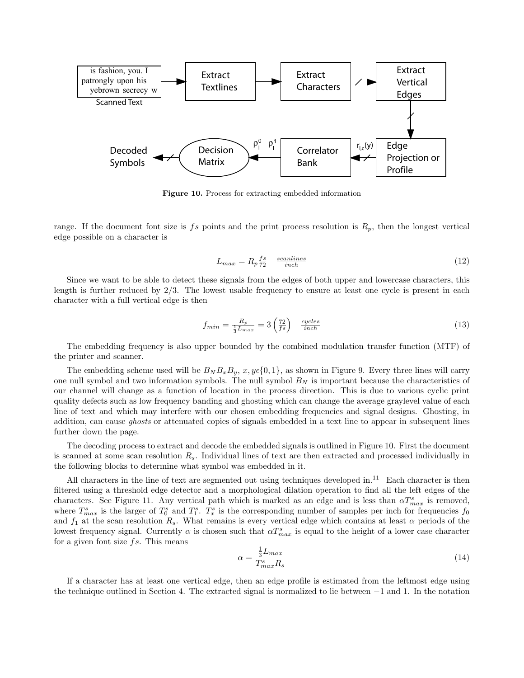

Figure 10. Process for extracting embedded information

range. If the document font size is fs points and the print process resolution is  $R_p$ , then the longest vertical edge possible on a character is

$$
L_{max} = R_p \frac{fs}{72} \quad \frac{scanlines}{inch} \tag{12}
$$

Since we want to be able to detect these signals from the edges of both upper and lowercase characters, this length is further reduced by 2/3. The lowest usable frequency to ensure at least one cycle is present in each character with a full vertical edge is then

$$
f_{min} = \frac{R_p}{\frac{1}{3}L_{max}} = 3\left(\frac{72}{fs}\right) \quad \frac{cycles}{inch} \tag{13}
$$

The embedding frequency is also upper bounded by the combined modulation transfer function (MTF) of the printer and scanner.

The embedding scheme used will be  $B_N B_x B_y$ , x, ye $\{0, 1\}$ , as shown in Figure 9. Every three lines will carry one null symbol and two information symbols. The null symbol  $B<sub>N</sub>$  is important because the characteristics of our channel will change as a function of location in the process direction. This is due to various cyclic print quality defects such as low frequency banding and ghosting which can change the average graylevel value of each line of text and which may interfere with our chosen embedding frequencies and signal designs. Ghosting, in addition, can cause *ghosts* or attenuated copies of signals embedded in a text line to appear in subsequent lines further down the page.

The decoding process to extract and decode the embedded signals is outlined in Figure 10. First the document is scanned at some scan resolution  $R_s$ . Individual lines of text are then extracted and processed individually in the following blocks to determine what symbol was embedded in it.

All characters in the line of text are segmented out using techniques developed in.<sup>11</sup> Each character is then filtered using a threshold edge detector and a morphological dilation operation to find all the left edges of the characters. See Figure 11. Any vertical path which is marked as an edge and is less than  $\alpha T_{max}^s$  is removed, where  $T_{max}^s$  is the larger of  $T_0^s$  and  $T_1^s$ .  $T_x^s$  is the corresponding number of samples per inch for frequencies  $f_0$ and  $f_1$  at the scan resolution  $R_s$ . What remains is every vertical edge which contains at least  $\alpha$  periods of the lowest frequency signal. Currently  $\alpha$  is chosen such that  $\alpha T_{max}^s$  is equal to the height of a lower case character for a given font size  $fs$ . This means

$$
\alpha = \frac{\frac{1}{3}L_{max}}{T_{max}^s R_s} \tag{14}
$$

If a character has at least one vertical edge, then an edge profile is estimated from the leftmost edge using the technique outlined in Section 4. The extracted signal is normalized to lie between −1 and 1. In the notation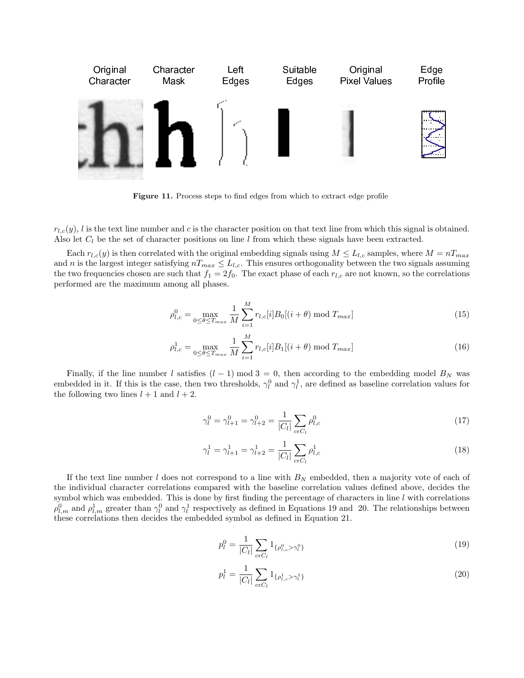

Figure 11. Process steps to find edges from which to extract edge profile

 $r_{l,c}(y)$ , l is the text line number and c is the character position on that text line from which this signal is obtained. Also let  $C_l$  be the set of character positions on line l from which these signals have been extracted.

Each  $r_{l,c}(y)$  is then correlated with the original embedding signals using  $M \leq L_{l,c}$  samples, where  $M = nT_{max}$ and n is the largest integer satisfying  $nT_{max} \leq L_{l,c}$ . This ensures orthogonality between the two signals assuming the two frequencies chosen are such that  $f_1 = 2f_0$ . The exact phase of each  $r_{l,c}$  are not known, so the correlations performed are the maximum among all phases.

$$
\rho_{l,c}^0 = \max_{0 \le \theta \le T_{max}} \frac{1}{M} \sum_{i=1}^M r_{l,c}[i] B_0[(i+\theta) \text{ mod } T_{max}] \tag{15}
$$

$$
\rho_{l,c}^1 = \max_{0 \le \theta \le T_{max}} \frac{1}{M} \sum_{i=1}^{M} r_{l,c}[i] B_1[(i+\theta) \text{ mod } T_{max}] \tag{16}
$$

Finally, if the line number l satisfies  $(l - 1) \mod 3 = 0$ , then according to the embedding model  $B_N$  was embedded in it. If this is the case, then two thresholds,  $\gamma_l^0$  and  $\gamma_l^1$ , are defined as baseline correlation values for the following two lines  $l + 1$  and  $l + 2$ .

$$
\gamma_l^0 = \gamma_{l+1}^0 = \gamma_{l+2}^0 = \frac{1}{|C_l|} \sum_{c \in C_l} \rho_{l,c}^0
$$
\n(17)

$$
\gamma_l^1 = \gamma_{l+1}^1 = \gamma_{l+2}^1 = \frac{1}{|C_l|} \sum_{c \in C_l} \rho_{l,c}^1 \tag{18}
$$

If the text line number l does not correspond to a line with  $B<sub>N</sub>$  embedded, then a majority vote of each of the individual character correlations compared with the baseline correlation values defined above, decides the symbol which was embedded. This is done by first finding the percentage of characters in line  $l$  with correlations  $\rho_{l,m}^0$  and  $\rho_{l,m}^1$  greater than  $\gamma_l^0$  and  $\gamma_l^1$  respectively as defined in Equations 19 and 20. The relationships between these correlations then decides the embedded symbol as defined in Equation 21.

$$
p_l^0 = \frac{1}{|C_l|} \sum_{c \in C_l} 1_{\{\rho_{l,c}^0 > \gamma_l^0\}} \tag{19}
$$

$$
p_l^1 = \frac{1}{|C_l|} \sum_{c \in C_l} 1_{\{\rho_{l,c}^1 > \gamma_l^1\}} \tag{20}
$$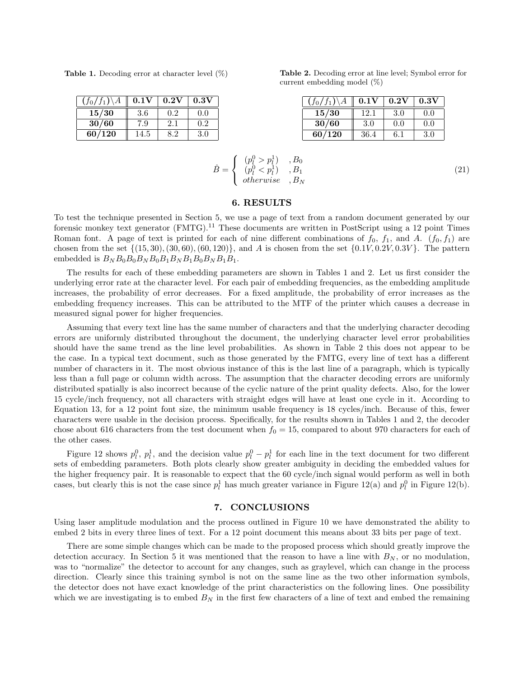**Table 1.** Decoding error at character level  $(\%)$ 

|        | 0.1V | 0.2V | 0.3V    |
|--------|------|------|---------|
| 15/30  | 3.6  | 0.2  | $0.0^-$ |
| 30/60  | 7.9  | 2.1  | 0.2     |
| 60/120 | 14.5 | 8.2  | 3.0     |

Table 2. Decoding error at line level; Symbol error for current embedding model (%)

| $(f_0/f_1)$ | $0.1\mathrm{V}$ | 0.2V | 0.3V |
|-------------|-----------------|------|------|
| 15/30       | 12.1            | 3.0  | 0.0  |
| 30/60       | 3.0             | 0.0  | 0.0  |
| 60/120      | 36.4            | 6.1  | 3.0  |

$$
\hat{B} = \begin{cases}\n(p_l^0 > p_l^1) & , B_0 \\
(p_l^0 < p_l^1) & , B_1 \\
otherwise & , B_N\n\end{cases}
$$
\n(21)

# 6. RESULTS

To test the technique presented in Section 5, we use a page of text from a random document generated by our forensic monkey text generator  $(FMTG).<sup>11</sup>$  These documents are written in PostScript using a 12 point Times Roman font. A page of text is printed for each of nine different combinations of  $f_0$ ,  $f_1$ , and A.  $(f_0, f_1)$  are chosen from the set  $\{(15, 30), (30, 60), (60, 120)\}\$ , and A is chosen from the set  $\{0.1V, 0.2V, 0.3V\}\$ . The pattern embedded is  $B_N B_0 B_0 B_N B_0 B_1 B_N B_1 B_0 B_N B_1 B_1$ .

The results for each of these embedding parameters are shown in Tables 1 and 2. Let us first consider the underlying error rate at the character level. For each pair of embedding frequencies, as the embedding amplitude increases, the probability of error decreases. For a fixed amplitude, the probability of error increases as the embedding frequency increases. This can be attributed to the MTF of the printer which causes a decrease in measured signal power for higher frequencies.

Assuming that every text line has the same number of characters and that the underlying character decoding errors are uniformly distributed throughout the document, the underlying character level error probabilities should have the same trend as the line level probabilities. As shown in Table 2 this does not appear to be the case. In a typical text document, such as those generated by the FMTG, every line of text has a different number of characters in it. The most obvious instance of this is the last line of a paragraph, which is typically less than a full page or column width across. The assumption that the character decoding errors are uniformly distributed spatially is also incorrect because of the cyclic nature of the print quality defects. Also, for the lower 15 cycle/inch frequency, not all characters with straight edges will have at least one cycle in it. According to Equation 13, for a 12 point font size, the minimum usable frequency is 18 cycles/inch. Because of this, fewer characters were usable in the decision process. Specifically, for the results shown in Tables 1 and 2, the decoder chose about 616 characters from the test document when  $f_0 = 15$ , compared to about 970 characters for each of the other cases.

Figure 12 shows  $p_l^0$ ,  $p_l^1$ , and the decision value  $p_l^0 - p_l^1$  for each line in the text document for two different sets of embedding parameters. Both plots clearly show greater ambiguity in deciding the embedded values for the higher frequency pair. It is reasonable to expect that the 60 cycle/inch signal would perform as well in both cases, but clearly this is not the case since  $p_l^1$  has much greater variance in Figure 12(a) and  $p_l^0$  in Figure 12(b).

#### 7. CONCLUSIONS

Using laser amplitude modulation and the process outlined in Figure 10 we have demonstrated the ability to embed 2 bits in every three lines of text. For a 12 point document this means about 33 bits per page of text.

There are some simple changes which can be made to the proposed process which should greatly improve the detection accuracy. In Section 5 it was mentioned that the reason to have a line with  $B_N$ , or no modulation, was to "normalize" the detector to account for any changes, such as graylevel, which can change in the process direction. Clearly since this training symbol is not on the same line as the two other information symbols, the detector does not have exact knowledge of the print characteristics on the following lines. One possibility which we are investigating is to embed  $B_N$  in the first few characters of a line of text and embed the remaining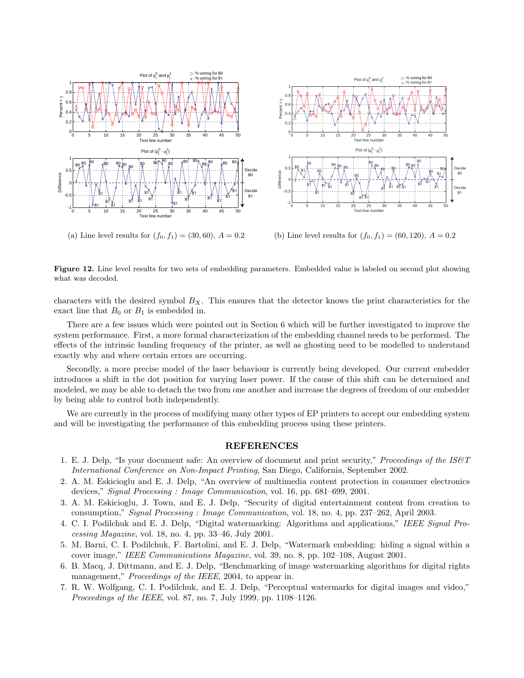

(a) Line level results for  $(f_0, f_1) = (30, 60), A = 0.2$ 

(b) Line level results for  $(f_0, f_1) = (60, 120), A = 0.2$ 

Figure 12. Line level results for two sets of embedding parameters. Embedded value is labeled on second plot showing what was decoded.

characters with the desired symbol  $B<sub>X</sub>$ . This ensures that the detector knows the print characteristics for the exact line that  $B_0$  or  $B_1$  is embedded in.

There are a few issues which were pointed out in Section 6 which will be further investigated to improve the system performance. First, a more formal characterization of the embedding channel needs to be performed. The effects of the intrinsic banding frequency of the printer, as well as ghosting need to be modelled to understand exactly why and where certain errors are occurring.

Secondly, a more precise model of the laser behaviour is currently being developed. Our current embedder introduces a shift in the dot position for varying laser power. If the cause of this shift can be determined and modeled, we may be able to detach the two from one another and increase the degrees of freedom of our embedder by being able to control both independently.

We are currently in the process of modifying many other types of EP printers to accept our embedding system and will be investigating the performance of this embedding process using these printers.

#### REFERENCES

- 1. E. J. Delp, "Is your document safe: An overview of document and print security," Proceedings of the IS&T International Conference on Non-Impact Printing, San Diego, California, September 2002.
- 2. A. M. Eskicioglu and E. J. Delp, "An overview of multimedia content protection in consumer electronics devices," Signal Processing : Image Communication, vol. 16, pp. 681–699, 2001.
- 3. A. M. Eskicioglu, J. Town, and E. J. Delp, "Security of digital entertainment content from creation to consumption," Signal Processing : Image Communication, vol. 18, no. 4, pp. 237–262, April 2003.
- 4. C. I. Podilchuk and E. J. Delp, "Digital watermarking: Algorithms and applications," IEEE Signal Processing Magazine, vol. 18, no. 4, pp. 33–46, July 2001.
- 5. M. Barni, C. I. Podilchuk, F. Bartolini, and E. J. Delp, "Watermark embedding: hiding a signal within a cover image," IEEE Communications Magazine, vol. 39, no. 8, pp. 102–108, August 2001.
- 6. B. Macq, J. Dittmann, and E. J. Delp, "Benchmarking of image watermarking algorithms for digital rights management," *Proceedings of the IEEE*, 2004, to appear in.
- 7. R. W. Wolfgang, C. I. Podilchuk, and E. J. Delp, "Perceptual watermarks for digital images and video," Proceedings of the IEEE, vol. 87, no. 7, July 1999, pp. 1108–1126.